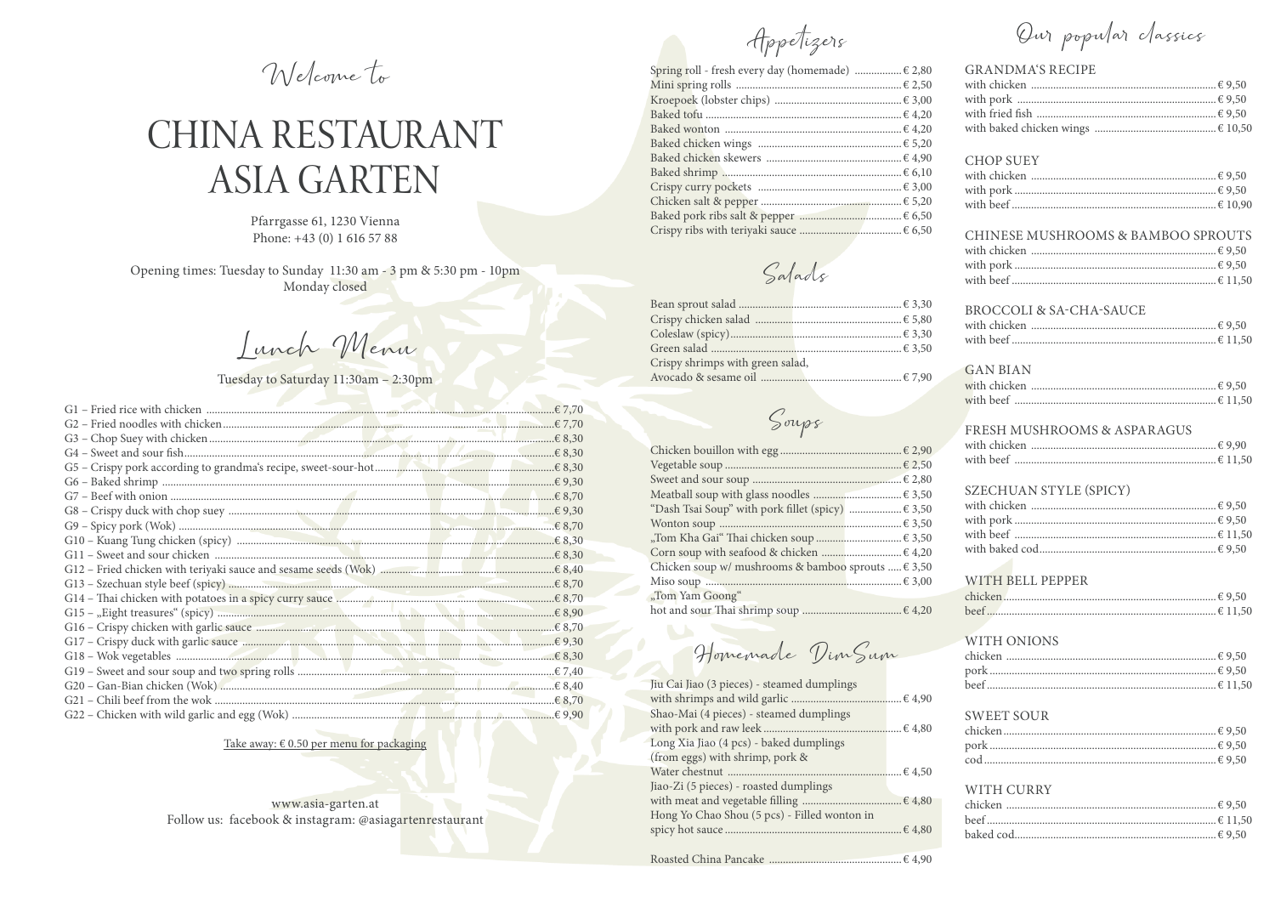Welcome to

# CHINA RESTAURANT **ASIA GARTEN**

Pfarrgasse 61, 1230 Vienna Phone: +43 (0) 1 616 57 88

Opening times: Tuesday to Sunday 11:30 am - 3 pm & 5:30 pm - 10pm Monday closed

Junch Menu

# Tuesday to Saturday 11:30am - 2:30pm

| G16 - Crispy chicken with garlic sauce manufactured and a control of 8,70 |  |
|---------------------------------------------------------------------------|--|
|                                                                           |  |
|                                                                           |  |
|                                                                           |  |
|                                                                           |  |
|                                                                           |  |
|                                                                           |  |

Take away:  $\epsilon$  0.50 per menu for packaging

#### www.asia-garten.at Follow us: facebook & instagram: @asiagartenrestaurant

Appetizers

| Spring roll - fresh every day (homemade)  € 2,80 |  |
|--------------------------------------------------|--|
|                                                  |  |
|                                                  |  |
|                                                  |  |
|                                                  |  |
|                                                  |  |
|                                                  |  |
|                                                  |  |
|                                                  |  |
|                                                  |  |
|                                                  |  |
|                                                  |  |

Salads

| Crispy shrimps with green salad, |                 |
|----------------------------------|-----------------|
| Avocado & sesame oil             | $\epsilon$ 7.90 |

Soups

| "Dash Tsai Soup" with pork fillet (spicy)  € 3,50     |  |
|-------------------------------------------------------|--|
|                                                       |  |
|                                                       |  |
|                                                       |  |
| Chicken soup w/ mushrooms & bamboo sprouts $\in$ 3,50 |  |
|                                                       |  |
| "Tom Yam Goong"                                       |  |
| hot and sour Thai shrimp soup                         |  |

Homemade Din Sum

| Jiu Cai Jiao (3 pieces) - steamed dumplings  |  |
|----------------------------------------------|--|
|                                              |  |
| Shao-Mai (4 pieces) - steamed dumplings      |  |
|                                              |  |
| Long Xia Jiao (4 pcs) - baked dumplings      |  |
| (from eggs) with shrimp, pork &              |  |
|                                              |  |
| Jiao-Zi (5 pieces) - roasted dumplings       |  |
|                                              |  |
| Hong Yo Chao Shou (5 pcs) - Filled wonton in |  |
|                                              |  |
|                                              |  |
|                                              |  |

Our popular classics

# **GRANDMA'S RECIPE**

#### **CHOP SUEY**

 $0.202$ 

#### CHINESE MUSHROOMS & BAMBOO SPROUTS

#### BROCCOLI & SA-CHA-SAUCE

## **GAN BIAN**

#### FRESH MUSHROOMS & ASPARAGUS

| with beef | $\ldots$ $\in$ 11.50 |  |
|-----------|----------------------|--|

#### SZECHUAN STYLE (SPICY)

#### WITH BELL PEPPER

| beef. |  |
|-------|--|

# WITH ONIONS

# **SWEET SOUR**

# WITH CURRY